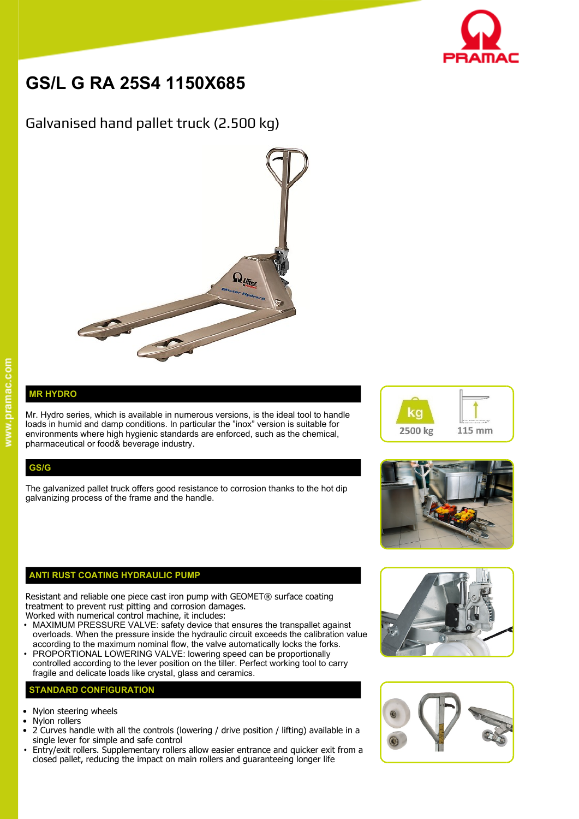

# **GS/L G RA 25S4 1150X685**

## Galvanised hand pallet truck (2.500 kg)



### **MR HYDRO**

Mr. Hydro series, which is available in numerous versions, is the ideal tool to handle  $\blacksquare$ loads in humid and damp conditions. In particular the "inox" version is suitable for environments where high hygienic standards are enforced, such as the chemical, pharmaceutical or food& beverage industry.

#### **GS/G**

The galvanized pallet truck offers good resistance to corrosion thanks to the hot dip galvanizing process of the frame and the handle.

#### **ANTI RUST COATING HYDRAULIC PUMP**

Resistant and reliable one piece cast iron pump with GEOMET® surface coating treatment to prevent rust pitting and corrosion damages.

- Worked with numerical control machine, it includes: • MAXIMUM PRESSURE VALVE: safety device that ensures the transpallet against overloads. When the pressure inside the hydraulic circuit exceeds the calibration value according to the maximum nominal flow, the valve automatically locks the forks.
- PROPORTIONAL LOWERING VALVE: lowering speed can be proportionally controlled according to the lever position on the tiller. Perfect working tool to carry fragile and delicate loads like crystal, glass and ceramics.

#### **STANDARD CONFIGURATION**

- Nylon steering wheels
- Nylon rollers
- 2 Curves handle with all the controls (lowering / drive position / lifting) available in a single lever for simple and safe control
- Entry/exit rollers. Supplementary rollers allow easier entrance and quicker exit from a closed pallet, reducing the impact on main rollers and guaranteeing longer life







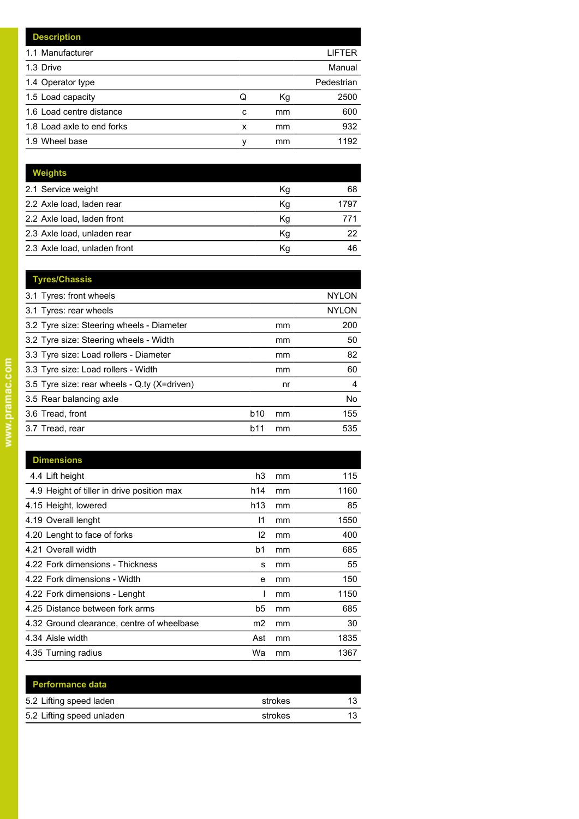| <b>Description</b>         |   |    |            |
|----------------------------|---|----|------------|
| 1.1 Manufacturer           |   |    | LIFTER     |
| 1.3 Drive                  |   |    | Manual     |
| 1.4 Operator type          |   |    | Pedestrian |
| 1.5 Load capacity          | Q | Кg | 2500       |
| 1.6 Load centre distance   | c | mm | 600        |
| 1.8 Load axle to end forks | x | mm | 932        |
| 1.9 Wheel base             | v | mm | 1192       |

| Weights                      |    |      |
|------------------------------|----|------|
| 2.1 Service weight           | Кg | 68   |
| 2.2 Axle load, laden rear    | Κq | 1797 |
| 2.2 Axle load, laden front   | Κq | 771  |
| 2.3 Axle load, unladen rear  | Kg | 22   |
| 2.3 Axle load, unladen front | Κq | 46   |

| <b>Tyres/Chassis</b>                         |            |    |              |
|----------------------------------------------|------------|----|--------------|
| 3.1 Tyres: front wheels                      |            |    | <b>NYLON</b> |
| 3.1 Tyres: rear wheels                       |            |    | <b>NYLON</b> |
| 3.2 Tyre size: Steering wheels - Diameter    |            | mm | 200          |
| 3.2 Tyre size: Steering wheels - Width       |            | mm | 50           |
| 3.3 Tyre size: Load rollers - Diameter       |            | mm | 82           |
| 3.3 Tyre size: Load rollers - Width          |            | mm | 60           |
| 3.5 Tyre size: rear wheels - Q.ty (X=driven) |            | nr | 4            |
| 3.5 Rear balancing axle                      |            |    | No           |
| 3.6 Tread, front                             | <b>b10</b> | mm | 155          |
| 3.7 Tread, rear                              | b11        | mm | 535          |
|                                              |            |    |              |

| <b>Dimensions</b>                          |               |    |      |
|--------------------------------------------|---------------|----|------|
| 4.4 Lift height                            | h3            | mm | 115  |
| 4.9 Height of tiller in drive position max | h14           | mm | 1160 |
| 4.15 Height, lowered                       | h13           | mm | 85   |
| 4.19 Overall lenght                        | 11            | mm | 1550 |
| 4.20 Lenght to face of forks               | $\mathsf{I2}$ | mm | 400  |
| 4.21 Overall width                         | b1            | mm | 685  |
| 4.22 Fork dimensions - Thickness           | s             | mm | 55   |
| 4.22 Fork dimensions - Width               | e             | mm | 150  |
| 4.22 Fork dimensions - Lenght              |               | mm | 1150 |
| 4.25 Distance between fork arms            | b5            | mm | 685  |
| 4.32 Ground clearance, centre of wheelbase | m2            | mm | 30   |
| 4.34 Aisle width                           | Ast           | mm | 1835 |
| 4.35 Turning radius                        | Wa            | mm | 1367 |

| <b>Performance data</b>   |         |    |
|---------------------------|---------|----|
| 5.2 Lifting speed laden   | strokes | 12 |
| 5.2 Lifting speed unladen | strokes |    |